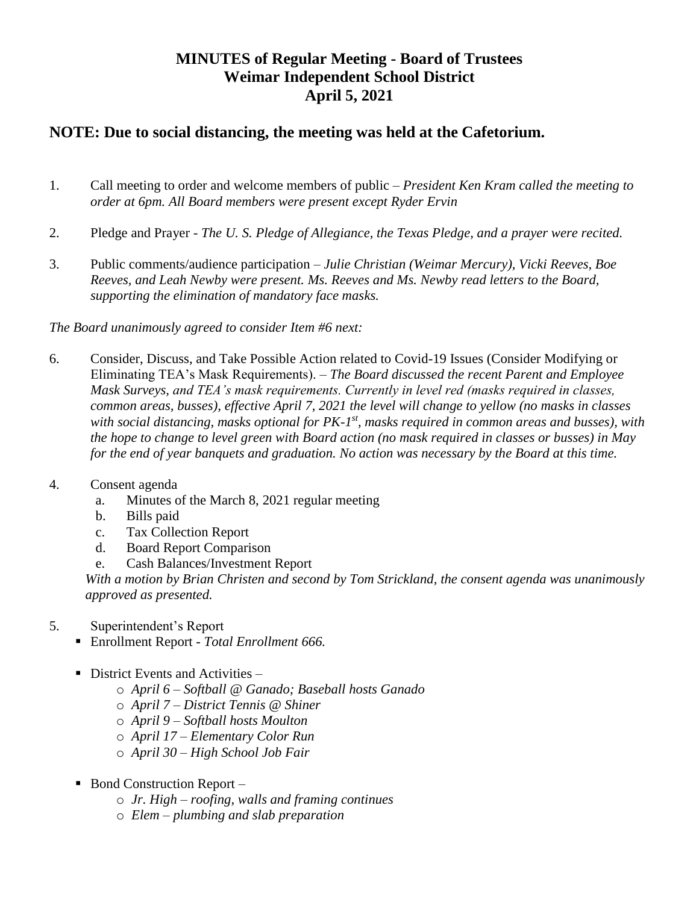# **MINUTES of Regular Meeting - Board of Trustees Weimar Independent School District April 5, 2021**

## **NOTE: Due to social distancing, the meeting was held at the Cafetorium.**

- 1. Call meeting to order and welcome members of public *President Ken Kram called the meeting to order at 6pm. All Board members were present except Ryder Ervin*
- 2. Pledge and Prayer *The U. S. Pledge of Allegiance, the Texas Pledge, and a prayer were recited.*
- 3. Public comments/audience participation *Julie Christian (Weimar Mercury), Vicki Reeves, Boe Reeves, and Leah Newby were present. Ms. Reeves and Ms. Newby read letters to the Board, supporting the elimination of mandatory face masks.*

*The Board unanimously agreed to consider Item #6 next:*

- 6. Consider, Discuss, and Take Possible Action related to Covid-19 Issues (Consider Modifying or Eliminating TEA's Mask Requirements). – *The Board discussed the recent Parent and Employee Mask Surveys, and TEA's mask requirements. Currently in level red (masks required in classes, common areas, busses), effective April 7, 2021 the level will change to yellow (no masks in classes*  with social distancing, masks optional for PK-1<sup>st</sup>, masks required in common areas and busses), with *the hope to change to level green with Board action (no mask required in classes or busses) in May for the end of year banquets and graduation. No action was necessary by the Board at this time.*
- 4. Consent agenda
	- a. Minutes of the March 8, 2021 regular meeting
	- b. Bills paid
	- c. Tax Collection Report
	- d. Board Report Comparison
	- e. Cash Balances/Investment Report

*With a motion by Brian Christen and second by Tom Strickland, the consent agenda was unanimously approved as presented.*

- 5. Superintendent's Report
	- Enrollment Report *- Total Enrollment 666.*
	- $\blacksquare$  District Events and Activities
		- o *April 6 – Softball @ Ganado; Baseball hosts Ganado*
		- o *April 7 – District Tennis @ Shiner*
		- o *April 9 – Softball hosts Moulton*
		- o *April 17 – Elementary Color Run*
		- o *April 30 – High School Job Fair*
	- $\blacksquare$  Bond Construction Report
		- o *Jr. High – roofing, walls and framing continues*
		- o *Elem – plumbing and slab preparation*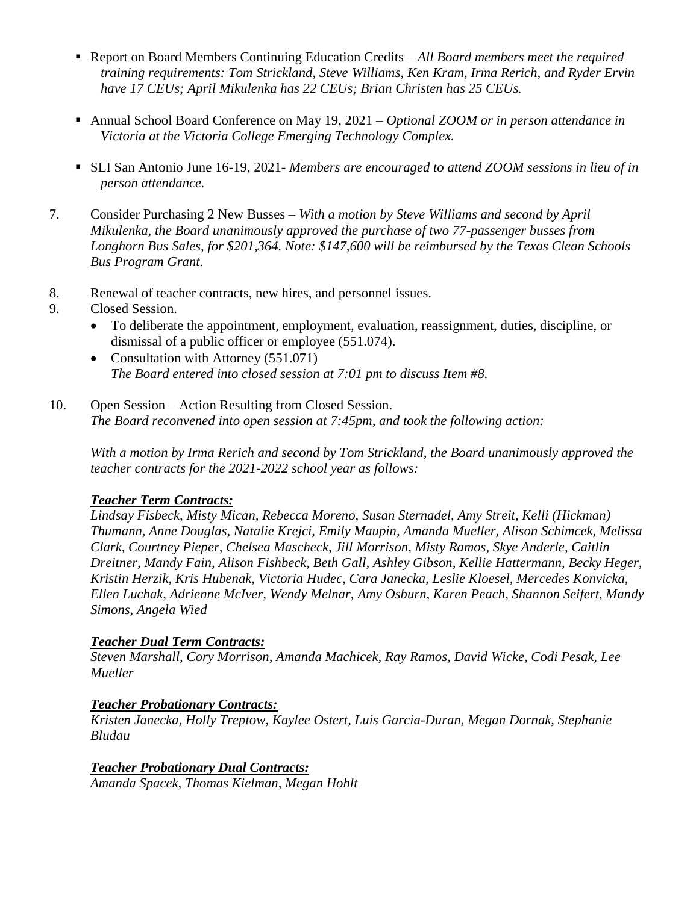- Report on Board Members Continuing Education Credits *All Board members meet the required training requirements: Tom Strickland, Steve Williams, Ken Kram, Irma Rerich, and Ryder Ervin have 17 CEUs; April Mikulenka has 22 CEUs; Brian Christen has 25 CEUs.*
- Annual School Board Conference on May 19, 2021 *Optional ZOOM or in person attendance in Victoria at the Victoria College Emerging Technology Complex.*
- SLI San Antonio June 16-19, 2021- *Members are encouraged to attend ZOOM sessions in lieu of in person attendance.*
- 7. Consider Purchasing 2 New Busses *With a motion by Steve Williams and second by April Mikulenka, the Board unanimously approved the purchase of two 77-passenger busses from Longhorn Bus Sales, for \$201,364. Note: \$147,600 will be reimbursed by the Texas Clean Schools Bus Program Grant.*
- 8. Renewal of teacher contracts, new hires, and personnel issues.
- 9. Closed Session.
	- To deliberate the appointment, employment, evaluation, reassignment, duties, discipline, or dismissal of a public officer or employee (551.074).
	- Consultation with Attorney (551.071) *The Board entered into closed session at 7:01 pm to discuss Item #8.*
- 10. Open Session Action Resulting from Closed Session. *The Board reconvened into open session at 7:45pm, and took the following action:*

*With a motion by Irma Rerich and second by Tom Strickland, the Board unanimously approved the teacher contracts for the 2021-2022 school year as follows:*

#### *Teacher Term Contracts:*

*Lindsay Fisbeck, Misty Mican, Rebecca Moreno, Susan Sternadel, Amy Streit, Kelli (Hickman) Thumann, Anne Douglas, Natalie Krejci, Emily Maupin, Amanda Mueller, Alison Schimcek, Melissa Clark, Courtney Pieper, Chelsea Mascheck, Jill Morrison, Misty Ramos, Skye Anderle, Caitlin Dreitner, Mandy Fain, Alison Fishbeck, Beth Gall, Ashley Gibson, Kellie Hattermann, Becky Heger, Kristin Herzik, Kris Hubenak, Victoria Hudec, Cara Janecka, Leslie Kloesel, Mercedes Konvicka, Ellen Luchak, Adrienne McIver, Wendy Melnar, Amy Osburn, Karen Peach, Shannon Seifert, Mandy Simons, Angela Wied*

#### *Teacher Dual Term Contracts:*

*Steven Marshall, Cory Morrison, Amanda Machicek, Ray Ramos, David Wicke, Codi Pesak, Lee Mueller*

#### *Teacher Probationary Contracts:*

*Kristen Janecka, Holly Treptow, Kaylee Ostert, Luis Garcia-Duran, Megan Dornak, Stephanie Bludau*

#### *Teacher Probationary Dual Contracts:*

*Amanda Spacek, Thomas Kielman, Megan Hohlt*